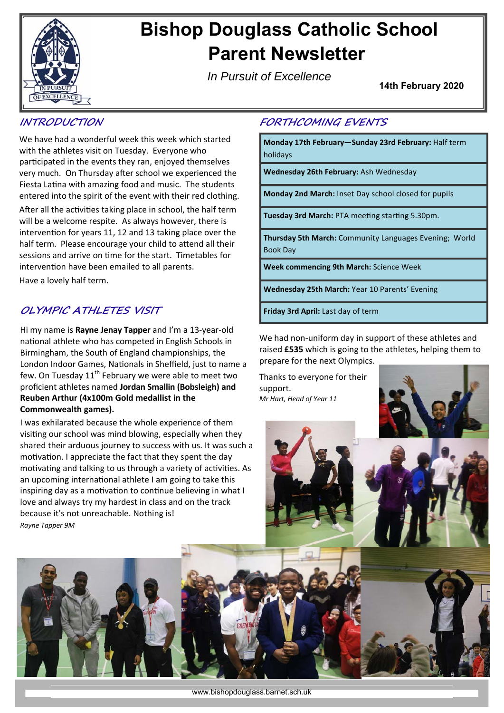

# **Bishop Douglass Catholic School Parent Newsletter**

*In Pursuit of Excellence*

**14th February 2020** 

## **INTRODUCTION**

We have had a wonderful week this week which started with the athletes visit on Tuesday. Everyone who participated in the events they ran, enjoyed themselves very much. On Thursday after school we experienced the Fiesta Latina with amazing food and music. The students entered into the spirit of the event with their red clothing.

After all the activities taking place in school, the half term will be a welcome respite. As always however, there is intervention for years 11, 12 and 13 taking place over the half term. Please encourage your child to attend all their sessions and arrive on time for the start. Timetables for intervention have been emailed to all parents.

Have a lovely half term.

## **OLYMPIC ATHLETES VISIT**

Hi my name is **Rayne Jenay Tapper** and I'm a 13‐year‐old national athlete who has competed in English Schools in Birmingham, the South of England championships, the London Indoor Games, Nationals in Sheffield, just to name a few. On Tuesday  $11<sup>th</sup>$  February we were able to meet two proficient athletes named **Jordan Smallin (Bobsleigh) and Reuben Arthur (4x100m Gold medallist in the Commonwealth games).**

I was exhilarated because the whole experience of them visiting our school was mind blowing, especially when they shared their arduous journey to success with us. It was such a motivation. I appreciate the fact that they spent the day motivating and talking to us through a variety of activities. As an upcoming international athlete I am going to take this inspiring day as a motivation to continue believing in what I love and always try my hardest in class and on the track because it's not unreachable. Nothing is! *Rayne Tapper 9M* 

### **FORTHCOMING EVENTS**

**Monday 17th February—Sunday 23rd February:** Half term holidays

**Wednesday 26th February:** Ash Wednesday

**Monday 2nd March:** Inset Day school closed for pupils

**Tuesday 3rd March: PTA meeting starting 5.30pm.** 

**Thursday 5th March:** Community Languages Evening; World Book Day

**Week commencing 9th March:** Science Week

**Wednesday 25th March:** Year 10 Parents' Evening

**Friday 3rd April:** Last day of term

We had non-uniform day in support of these athletes and raised **£535** which is going to the athletes, helping them to prepare for the next Olympics.

Thanks to everyone for their support. *Mr Hart, Head of Year 11*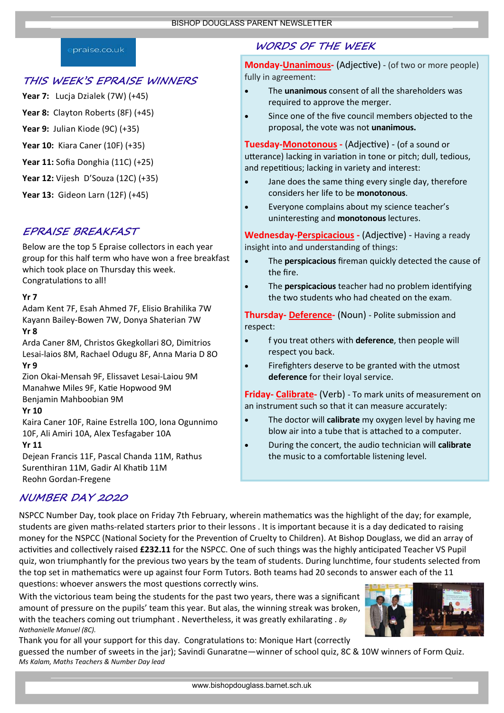#### praise.co.uk

#### **THIS WEEK'S EPRAISE WINNERS**

- **Year 7:** Lucja Dzialek (7W) (+45)
- Year 8: Clayton Roberts (8F) (+45)
- **Year 9:** Julian Kiode (9C) (+35)
- **Year 10:** Kiara Caner (10F) (+35)
- **Year 11:** Sofia Donghia (11C) (+25)
- **Year 12:** Vijesh D'Souza (12C) (+35)

**Year 13:** Gideon Larn (12F) (+45)

## **EPRAISE BREAKFAST**

Below are the top 5 Epraise collectors in each year group for this half term who have won a free breakfast which took place on Thursday this week. Congratulations to all!

#### **Yr 7**

Adam Kent 7F, Esah Ahmed 7F, Elisio Brahilika 7W Kayann Bailey‐Bowen 7W, Donya Shaterian 7W

### **Yr 8**

Arda Caner 8M, Christos Gkegkollari 8O, Dimitrios Lesai‐laios 8M, Rachael Odugu 8F, Anna Maria D 8O **Yr 9**

Zion Okai‐Mensah 9F, Elissavet Lesai‐Laiou 9M Manahwe Miles 9F, KaƟe Hopwood 9M Benjamin Mahboobian 9M

#### **Yr 10**

Kaira Caner 10F, Raine Estrella 10O, Iona Ogunnimo 10F, Ali Amiri 10A, Alex Tesfagaber 10A

#### **Yr 11**

Dejean Francis 11F, Pascal Chanda 11M, Rathus Surenthiran 11M, Gadir Al Khatib 11M Reohn Gordan‐Fregene

# **WORDS OF THE WEEK**

**Monday-Unanimous** (Adjective) - (of two or more people) fully in agreement:

- The **unanimous** consent of all the shareholders was required to approve the merger.
- Since one of the five council members objected to the proposal, the vote was not **unanimous.**

**Tuesday-Monotonous - (Adjective) - (of a sound or** utterance) lacking in variation in tone or pitch; dull, tedious, and repetitious; lacking in variety and interest:

- Jane does the same thing every single day, therefore considers her life to be **monotonous**.
- Everyone complains about my science teacher's uninteresƟng and **monotonous** lectures.

Wednesday-Perspicacious - (Adjective) - Having a ready insight into and understanding of things:

- The **perspicacious** fireman quickly detected the cause of the fire.
- The **perspicacious** teacher had no problem identifying the two students who had cheated on the exam.

**Thursday‐ Deference‐** (Noun) ‐ Polite submission and respect:

- f you treat others with **deference**, then people will respect you back.
- Firefighters deserve to be granted with the utmost **deference** for their loyal service.

**Friday‐ Calibrate‐** (Verb) ‐ To mark units of measurement on an instrument such so that it can measure accurately:

- The doctor will **calibrate** my oxygen level by having me blow air into a tube that is attached to a computer.
- During the concert, the audio technician will **calibrate** the music to a comfortable listening level.

# **NUMBER DAY 2020**

NSPCC Number Day, took place on Friday 7th February, wherein mathematics was the highlight of the day; for example, students are given maths‐related starters prior to their lessons . It is important because it is a day dedicated to raising money for the NSPCC (National Society for the Prevention of Cruelty to Children). At Bishop Douglass, we did an array of activities and collectively raised £232.11 for the NSPCC. One of such things was the highly anticipated Teacher VS Pupil quiz, won triumphantly for the previous two years by the team of students. During lunchtime, four students selected from the top set in mathematics were up against four Form Tutors. Both teams had 20 seconds to answer each of the 11 questions: whoever answers the most questions correctly wins.

With the victorious team being the students for the past two years, there was a significant amount of pressure on the pupils' team this year. But alas, the winning streak was broken, with the teachers coming out triumphant . Nevertheless, it was greatly exhilarating . *By Nathanielle Manuel (8C).*

Thank you for all your support for this day. Congratulations to: Monique Hart (correctly guessed the number of sweets in the jar); Savindi Gunaratne—winner of school quiz, 8C & 10W winners of Form Quiz. *Ms Kalam, Maths Teachers & Number Day lead*